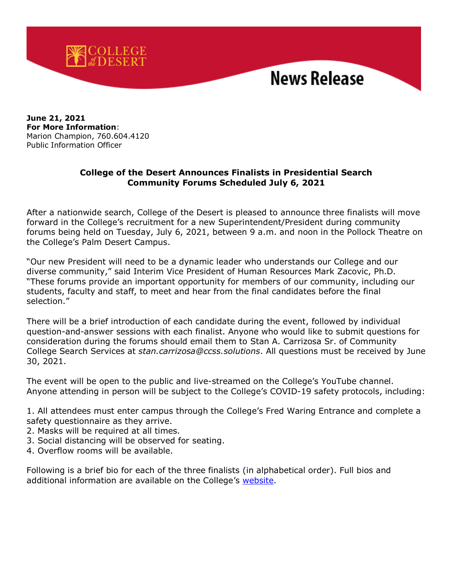

**June 21, 2021 For More Information**: Marion Champion, 760.604.4120 Public Information Officer

## **College of the Desert Announces Finalists in Presidential Search Community Forums Scheduled July 6, 2021**

After a nationwide search, College of the Desert is pleased to announce three finalists will move forward in the College's recruitment for a new Superintendent/President during community forums being held on Tuesday, July 6, 2021, between 9 a.m. and noon in the Pollock Theatre on the College's Palm Desert Campus.

"Our new President will need to be a dynamic leader who understands our College and our diverse community," said Interim Vice President of Human Resources Mark Zacovic, Ph.D. "These forums provide an important opportunity for members of our community, including our students, faculty and staff, to meet and hear from the final candidates before the final selection."

There will be a brief introduction of each candidate during the event, followed by individual question-and-answer sessions with each finalist. Anyone who would like to submit questions for consideration during the forums should email them to Stan A. Carrizosa Sr. of Community College Search Services at *[stan.carrizosa@ccss.solutions](mailto:stan.carrizosa@ccss.solutions)*. All questions must be received by June 30, 2021.

The event will be open to the public and live-streamed on the College's YouTube channel. Anyone attending in person will be subject to the College's COVID-19 safety protocols, including:

1. All attendees must enter campus through the College's Fred Waring Entrance and complete a safety questionnaire as they arrive.

- 2. Masks will be required at all times.
- 3. Social distancing will be observed for seating.
- 4. Overflow rooms will be available.

Following is a brief bio for each of the three finalists (in alphabetical order). Full bios and additional information are available on the College's [website.](https://www.collegeofthedesert.edu/president/default.php)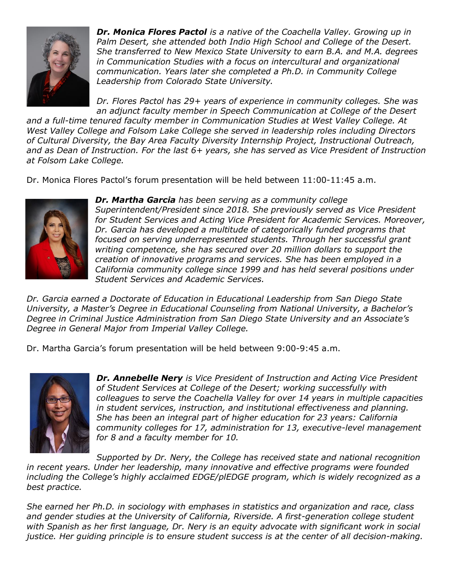

*Dr. Monica Flores Pactol is a native of the Coachella Valley. Growing up in Palm Desert, she attended both Indio High School and College of the Desert. She transferred to New Mexico State University to earn B.A. and M.A. degrees in Communication Studies with a focus on intercultural and organizational communication. Years later she completed a Ph.D. in Community College Leadership from Colorado State University.*

*Dr. Flores Pactol has 29+ years of experience in community colleges. She was an adjunct faculty member in Speech Communication at College of the Desert* 

*and a full-time tenured faculty member in Communication Studies at West Valley College. At West Valley College and Folsom Lake College she served in leadership roles including Directors of Cultural Diversity, the Bay Area Faculty Diversity Internship Project, Instructional Outreach, and as Dean of Instruction. For the last 6+ years, she has served as Vice President of Instruction at Folsom Lake College.* 

Dr. Monica Flores Pactol's forum presentation will be held between 11:00-11:45 a.m.



*Dr. Martha Garcia has been serving as a community college Superintendent/President since 2018. She previously served as Vice President for Student Services and Acting Vice President for Academic Services. Moreover, Dr. Garcia has developed a multitude of categorically funded programs that focused on serving underrepresented students. Through her successful grant writing competence, she has secured over 20 million dollars to support the creation of innovative programs and services. She has been employed in a California community college since 1999 and has held several positions under Student Services and Academic Services.* 

*Dr. Garcia earned a Doctorate of Education in Educational Leadership from San Diego State University, a Master's Degree in Educational Counseling from National University, a Bachelor's Degree in Criminal Justice Administration from San Diego State University and an Associate's Degree in General Major from Imperial Valley College.*

Dr. Martha Garcia's forum presentation will be held between 9:00-9:45 a.m.



*Dr. Annebelle Nery is Vice President of Instruction and Acting Vice President of Student Services at College of the Desert; working successfully with colleagues to serve the Coachella Valley for over 14 years in multiple capacities in student services, instruction, and institutional effectiveness and planning. She has been an integral part of higher education for 23 years: California community colleges for 17, administration for 13, executive-level management for 8 and a faculty member for 10.*

*Supported by Dr. Nery, the College has received state and national recognition in recent years. Under her leadership, many innovative and effective programs were founded including the College's highly acclaimed EDGE/plEDGE program, which is widely recognized as a best practice.*

*She earned her Ph.D. in sociology with emphases in statistics and organization and race, class and gender studies at the University of California, Riverside. A first-generation college student with Spanish as her first language, Dr. Nery is an equity advocate with significant work in social justice. Her guiding principle is to ensure student success is at the center of all decision-making.*